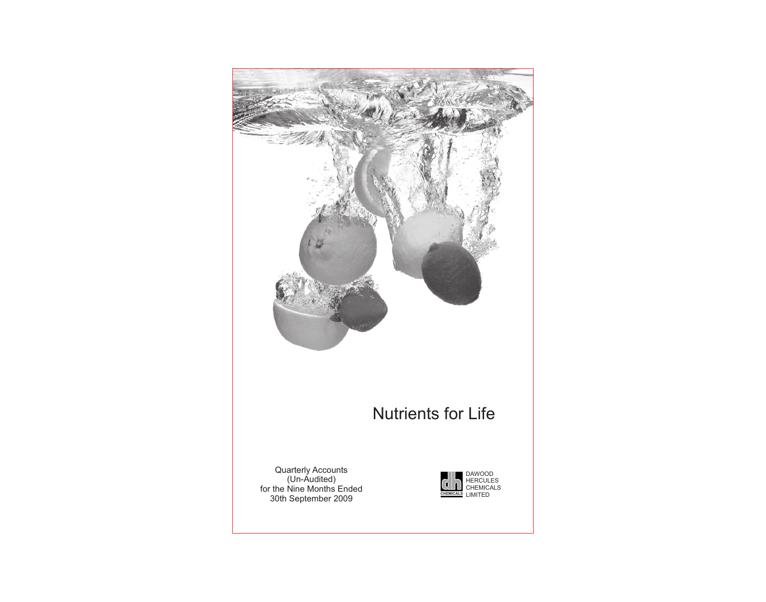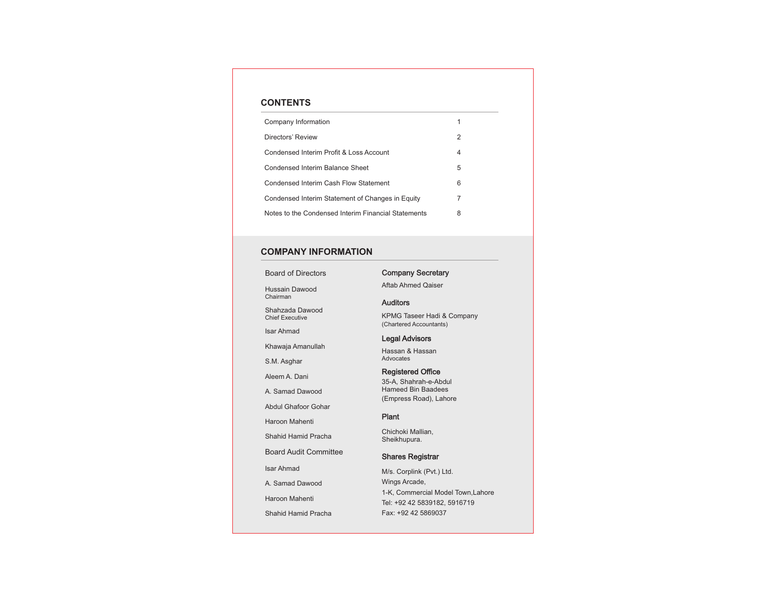# **CONTENTS**

| Company Information                                 |   |
|-----------------------------------------------------|---|
| Directors' Review                                   | 2 |
| Condensed Interim Profit & Loss Account             | 4 |
| Condensed Interim Balance Sheet                     | 5 |
| Condensed Interim Cash Flow Statement               | 6 |
| Condensed Interim Statement of Changes in Equity    | 7 |
| Notes to the Condensed Interim Financial Statements | 8 |

# **COMPANY INFORMATION**

Board of Directors

Hussain Dawood Chairman

Shahzada Dawood Chief Executive

Isar Ahmad

Khawaja Amanullah

S.M. Asghar

Aleem A. Dani

A. Samad Dawood

Abdul Ghafoor Gohar

Haroon Mahenti

Shahid Hamid Pracha

Board Audit Committee

Isar Ahmad

A. Samad Dawood

Haroon Mahenti

Shahid Hamid Pracha

# Company Secretary

Aftab Ahmed Qaiser

# **Auditors**

KPMG Taseer Hadi & Company (Chartered Accountants)

# Legal Advisors

Hassan & Hassan Advocates

## Registered Office

35-A, Shahrah-e-Abdul Hameed Bin Baadees (Empress Road), Lahore

# Plant

Chichoki Mallian, Sheikhupura.

# Shares Registrar

M/s. Corplink (Pvt.) Ltd. Wings Arcade, 1-K, Commercial Model Town,Lahore Tel: +92 42 5839182, 5916719 Fax: +92 42 5869037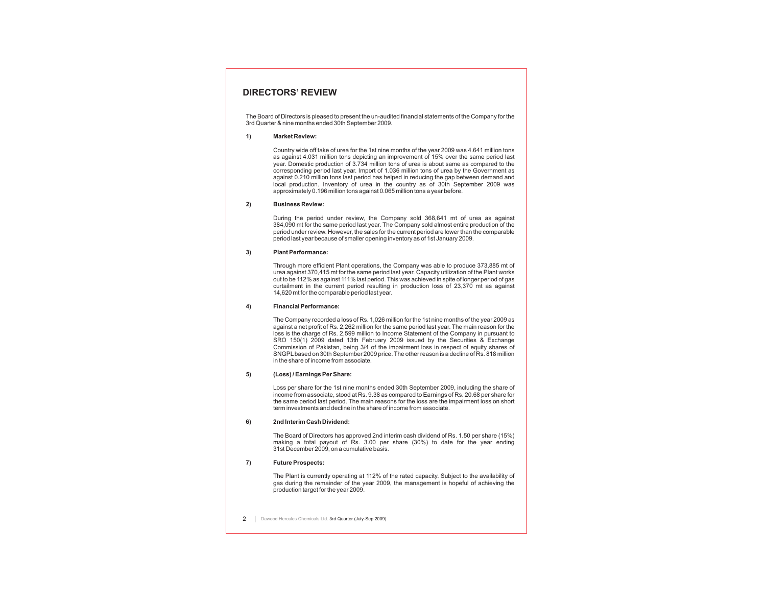# **DIRECTORS' REVIEW**

The Board of Directors is pleased to present the un-audited financial statements of the Company for the 3rd Quarter & nine months ended 30th September 2009.

**1) Market Review:**

Country wide off take of urea for the 1st nine months of the year 2009 was 4.641 million tons as against 4.031 million tons depicting an improvement of 15% over the same period last year. Domestic production of 3.734 million tons of urea is about same as compared to the corresponding period last year. Import of 1.036 million tons of urea by the Government as against 0.210 million tons last period has helped in reducing the gap between demand and local production. Inventory of urea in the country as of 30th September 2009 was approximately 0.196 million tons against 0.065 million tons a year before.

**2) Business Review:**

During the period under review, the Company sold 368,641 mt of urea as against 384,090 mt for the same period last year. The Company sold almost entire production of the period under review. However, the sales for the current period are lower than the comparable period last year because of smaller opening inventory as of 1st January 2009.

**3) Plant Performance:**

Through more efficient Plant operations, the Company was able to produce 373,885 mt of urea against 370,415 mt for the same period last year. Capacity utilization of the Plant works out to be 112% as against 111% last period. This was achieved in spite of longer period of gas curtailment in the current period resulting in production loss of 23,370 mt as against 14,620 mt for the comparable period last year.

#### **4) Financial Performance:**

The Company recorded a loss of Rs. 1,026 million for the 1st nine months of the year 2009 as against a net profit of Rs. 2,262 million for the same period last year. The main reason for the loss is the charge of Rs. 2,599 million to Income Statement of the Company in pursuant to SRO 150(1) 2009 dated 13th February 2009 issued by the Securities & Exchange Commission of Pakistan, being 3/4 of the impairment loss in respect of equity shares of SNGPLbased on 30th September 2009 price. The other reason is a decline of Rs. 818 million in the share of income from associate.

#### **5) (Loss) / Earnings Per Share:**

Loss per share for the 1st nine months ended 30th September 2009, including the share of income from associate, stood at Rs. 9.38 as compared to Earnings of Rs. 20.68 per share for the same period last period. The main reasons for the loss are the impairment loss on short term investments and decline in the share of income from associate.

#### **6) 2nd Interim Cash Dividend:**

The Board of Directors has approved 2nd interim cash dividend of Rs. 1.50 per share (15%) making a total payout of Rs. 3.00 per share (30%) to date for the year ending 31st December 2009, on a cumulative basis.

### **7) Future Prospects:**

The Plant is currently operating at 112% of the rated capacity. Subject to the availability of gas during the remainder of the year 2009, the management is hopeful of achieving the production target for the year 2009.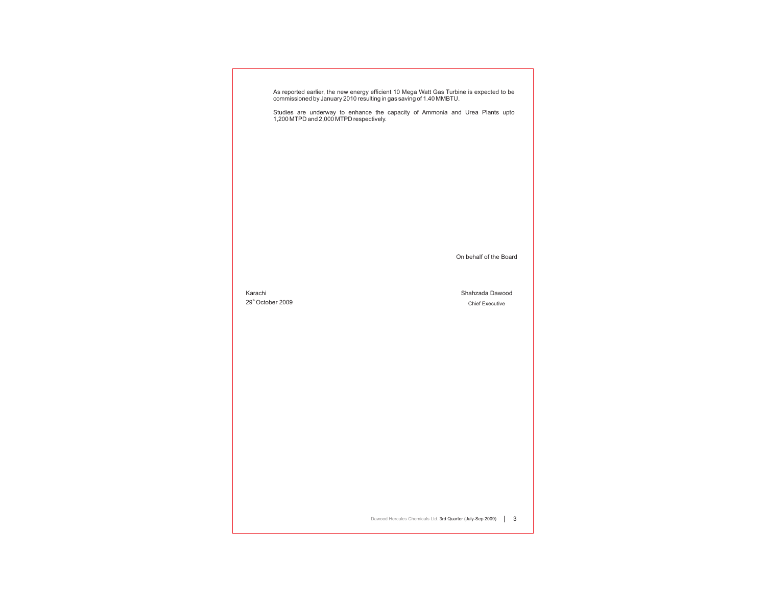|                                          | As reported earlier, the new energy efficient 10 Mega Watt Gas Turbine is expected to be<br>commissioned by January 2010 resulting in gas saving of 1.40 MMBTU. |
|------------------------------------------|-----------------------------------------------------------------------------------------------------------------------------------------------------------------|
|                                          | Studies are underway to enhance the capacity of Ammonia and Urea Plants upto 1,200 MTPD and 2,000 MTPD respectively.                                            |
|                                          |                                                                                                                                                                 |
|                                          |                                                                                                                                                                 |
|                                          |                                                                                                                                                                 |
|                                          |                                                                                                                                                                 |
|                                          |                                                                                                                                                                 |
|                                          |                                                                                                                                                                 |
|                                          |                                                                                                                                                                 |
|                                          | On behalf of the Board                                                                                                                                          |
|                                          |                                                                                                                                                                 |
|                                          |                                                                                                                                                                 |
| Karachi<br>29 <sup>th</sup> October 2009 | Shahzada Dawood<br><b>Chief Executive</b>                                                                                                                       |
|                                          |                                                                                                                                                                 |
|                                          |                                                                                                                                                                 |
|                                          |                                                                                                                                                                 |
|                                          |                                                                                                                                                                 |
|                                          |                                                                                                                                                                 |
|                                          |                                                                                                                                                                 |
|                                          |                                                                                                                                                                 |
|                                          |                                                                                                                                                                 |
|                                          |                                                                                                                                                                 |
|                                          |                                                                                                                                                                 |
|                                          |                                                                                                                                                                 |
|                                          |                                                                                                                                                                 |
|                                          | Dawood Hercules Chemicals Ltd. 3rd Quarter (July-Sep 2009)<br>$\mathbf{3}$                                                                                      |

 $\Box$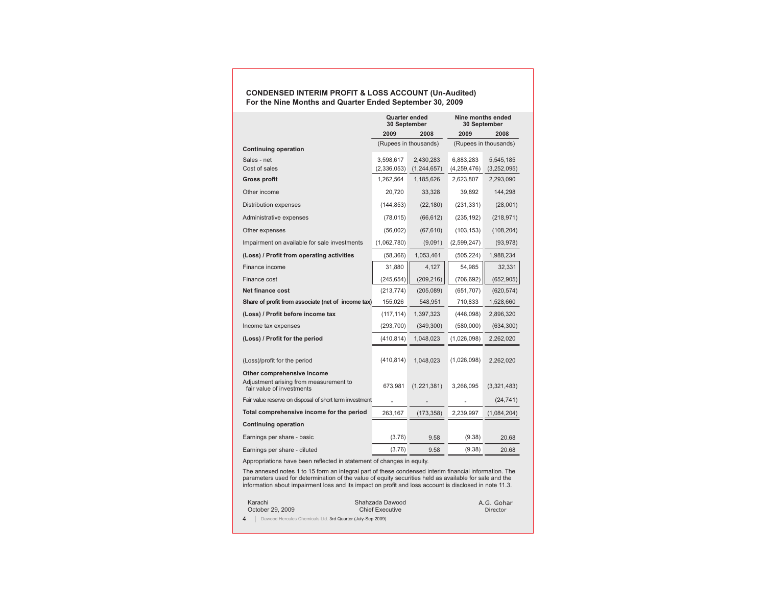# **CONDENSED INTERIM PROFIT & LOSS ACCOUNT (Un-Audited) For the Nine Months and Quarter Ended September 30, 2009**

|                                                                     | <b>Quarter ended</b><br>30 September |                       | 30 September | Nine months ended     |
|---------------------------------------------------------------------|--------------------------------------|-----------------------|--------------|-----------------------|
|                                                                     | 2009                                 | 2008                  | 2009         | 2008                  |
| <b>Continuing operation</b>                                         |                                      | (Rupees in thousands) |              | (Rupees in thousands) |
| Sales - net                                                         | 3,598,617                            | 2,430,283             | 6,883,283    | 5,545,185             |
| Cost of sales                                                       | (2,336,053)                          | (1, 244, 657)         | (4,259,476)  | (3,252,095)           |
| Gross profit                                                        | 1,262,564                            | 1,185,626             | 2,623,807    | 2,293,090             |
| Other income                                                        | 20,720                               | 33,328                | 39,892       | 144,298               |
| Distribution expenses                                               | (144, 853)                           | (22, 180)             | (231, 331)   | (28,001)              |
| Administrative expenses                                             | (78, 015)                            | (66, 612)             | (235, 192)   | (218, 971)            |
| Other expenses                                                      | (56,002)                             | (67, 610)             | (103, 153)   | (108, 204)            |
| Impairment on available for sale investments                        | (1,062,780)                          | (9,091)               | (2,599,247)  | (93, 978)             |
| (Loss) / Profit from operating activities                           | (58, 366)                            | 1,053,461             | (505, 224)   | 1,988,234             |
| Finance income                                                      | 31,880                               | 4,127                 | 54,985       | 32,331                |
| Finance cost                                                        | (245, 654)                           | (209, 216)            | (706, 692)   | (652, 905)            |
| <b>Net finance cost</b>                                             | (213, 774)                           | (205,089)             | (651, 707)   | (620, 574)            |
| Share of profit from associate (net of income tax)                  | 155,026                              | 548,951               | 710,833      | 1,528,660             |
| (Loss) / Profit before income tax                                   | (117, 114)                           | 1,397,323             | (446,098)    | 2,896,320             |
| Income tax expenses                                                 | (293, 700)                           | (349, 300)            | (580,000)    | (634, 300)            |
| (Loss) / Profit for the period                                      | (410, 814)                           | 1,048,023             | (1,026,098)  | 2,262,020             |
| (Loss)/profit for the period<br>Other comprehensive income          | (410, 814)                           | 1,048,023             | (1,026,098)  | 2,262,020             |
| Adjustment arising from measurement to<br>fair value of investments | 673,981                              | (1,221,381)           | 3,266,095    | (3,321,483)           |
| Fair value reserve on disposal of short term investment             |                                      |                       |              | (24, 741)             |
| Total comprehensive income for the period                           | 263,167                              | (173, 358)            | 2,239,997    | (1,084,204)           |
| <b>Continuing operation</b>                                         |                                      |                       |              |                       |
| Earnings per share - basic                                          | (3.76)                               | 9.58                  | (9.38)       | 20.68                 |
| Earnings per share - diluted                                        | (3.76)                               | 9.58                  | (9.38)       | 20.68                 |

Appropriations have been reflected in statement of changes in equity.

The annexed notes 1 to 15 form an integral part of these condensed interim financial information. The parameters used for determination of the value of equity securities held as available for sale and the information about impairment loss and its impact on profit and loss account is disclosed in note 11.3.

| Karachi          | Shahzada Dawood        | A.G. Gohar |
|------------------|------------------------|------------|
| October 29, 2009 | <b>Chief Executive</b> | Director   |
|                  |                        |            |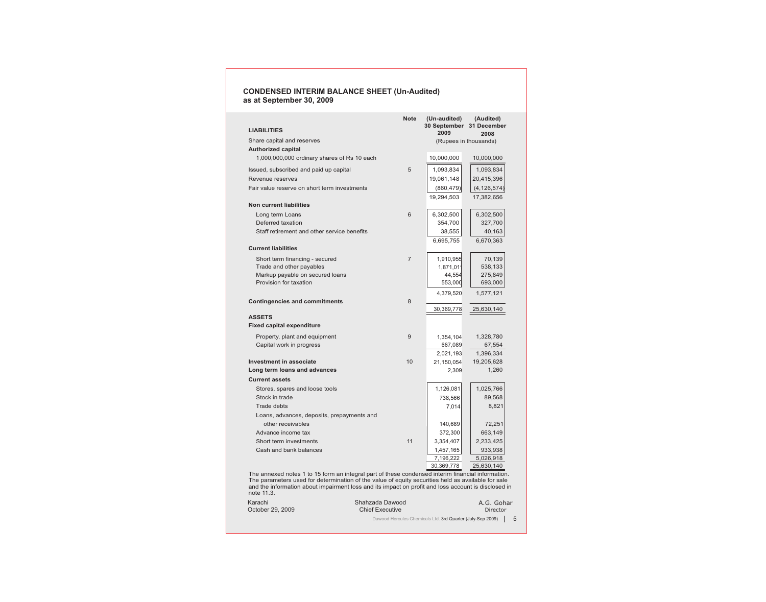### **CONDENSED INTERIM BALANCE SHEET (Un-Audited) as at September 30, 2009**

| <b>LIABILITIES</b>                                                                               | <b>Note</b>    | (Un-audited)<br>2009 | (Audited)<br>30 September 31 December |
|--------------------------------------------------------------------------------------------------|----------------|----------------------|---------------------------------------|
| Share capital and reserves                                                                       |                |                      | 2008<br>(Rupees in thousands)         |
| <b>Authorized capital</b>                                                                        |                |                      |                                       |
| 1,000,000,000 ordinary shares of Rs 10 each                                                      |                | 10,000,000           | 10,000,000                            |
| Issued, subscribed and paid up capital                                                           | 5              | 1,093,834            | 1,093,834                             |
| Revenue reserves                                                                                 |                | 19,061,148           | 20,415,396                            |
| Fair value reserve on short term investments                                                     |                | (860, 479)           | (4, 126, 574)                         |
|                                                                                                  |                | 19,294,503           | 17,382,656                            |
| <b>Non current liabilities</b>                                                                   |                |                      |                                       |
| Long term Loans                                                                                  | 6              | 6,302,500            | 6,302,500                             |
| Deferred taxation                                                                                |                | 354,700              | 327,700                               |
| Staff retirement and other service benefits                                                      |                | 38,555               | 40,163                                |
|                                                                                                  |                | 6,695,755            | 6,670,363                             |
| <b>Current liabilities</b>                                                                       |                |                      |                                       |
| Short term financing - secured                                                                   | $\overline{7}$ | 1,910,955            | 70,139                                |
| Trade and other payables                                                                         |                | 1,871,011            | 538,133                               |
| Markup payable on secured loans                                                                  |                | 44,554               | 275,849                               |
| Provision for taxation                                                                           |                | 553,000              | 693,000                               |
|                                                                                                  |                | 4,379,520            | 1,577,121                             |
| <b>Contingencies and commitments</b>                                                             | 8              |                      |                                       |
|                                                                                                  |                | 30,369,778           | 25,630,140                            |
| <b>ASSETS</b>                                                                                    |                |                      |                                       |
| <b>Fixed capital expenditure</b>                                                                 |                |                      |                                       |
| Property, plant and equipment                                                                    | 9              | 1,354,104            | 1,328,780                             |
| Capital work in progress                                                                         |                | 667,089              | 67,554                                |
|                                                                                                  |                | 2,021,193            | 1,396,334                             |
| <b>Investment in associate</b>                                                                   | 10             | 21,150,054           | 19,205,628                            |
| Long term loans and advances                                                                     |                | 2,309                | 1,260                                 |
| <b>Current assets</b>                                                                            |                |                      |                                       |
| Stores, spares and loose tools                                                                   |                | 1,126,081            | 1,025,766                             |
| Stock in trade                                                                                   |                | 738,566              | 89,568                                |
| <b>Trade debts</b>                                                                               |                | 7,014                | 8,821                                 |
| Loans, advances, deposits, prepayments and                                                       |                |                      |                                       |
| other receivables                                                                                |                | 140,689              | 72,251                                |
| Advance income tax                                                                               |                | 372,300              | 663,149                               |
| Short term investments                                                                           | 11             | 3,354,407            | 2,233,425                             |
| Cash and bank balances                                                                           |                | 1,457,165            | 933,938                               |
|                                                                                                  |                | 7,196,222            | 5,026,918                             |
|                                                                                                  |                | 30,369,778           | 25,630,140                            |
| The annexed notes 1 to 15 form an integral part of these condensed interim financial information |                |                      |                                       |

 $\vec{c}$  on The annexed notes 1 to 15 form an integral part of these condensed interim financial information. The parameters used for determination of the value of equity securities held as available for sale and the information about impairment loss and its impact on profit and loss account is disclosed in note 11.3.

| Karachi          | Shahzada Dawood                                                | A.G. Gohar |
|------------------|----------------------------------------------------------------|------------|
| October 29, 2009 | <b>Chief Executive</b>                                         | Director   |
|                  | Dawood Hercules Chemicals Ltd. 3rd Quarter (July-Sep 2009)   5 |            |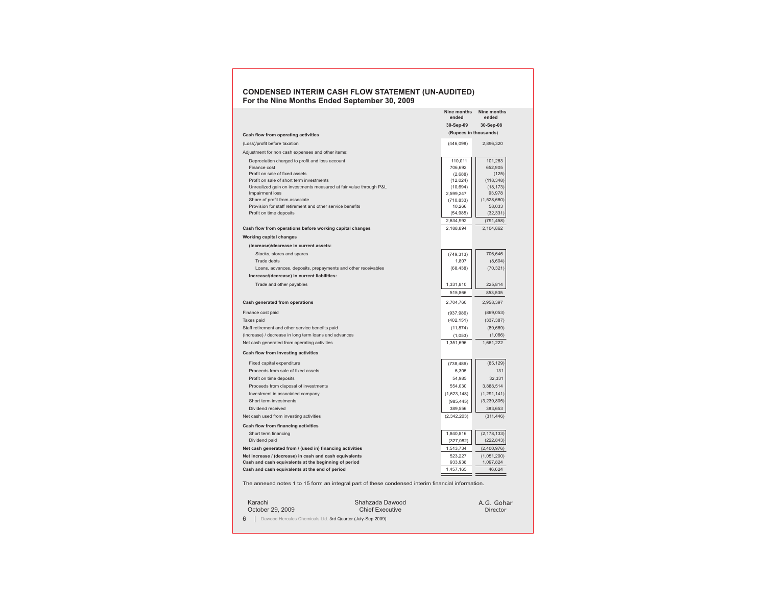### **CONDENSED INTERIM CASH FLOW STATEMENT (UN-AUDITED) For the Nine Months Ended September 30, 2009**

|                                                                                      |                                                                                                   | Nine months<br>ended   | Nine months<br>ended    |
|--------------------------------------------------------------------------------------|---------------------------------------------------------------------------------------------------|------------------------|-------------------------|
|                                                                                      |                                                                                                   | 30-Sep-09              | 30-Sep-08               |
| Cash flow from operating activities                                                  |                                                                                                   | (Rupees in thousands)  |                         |
| (Loss)/profit before taxation                                                        |                                                                                                   | (446,098)              | 2,896,320               |
| Adjustment for non cash expenses and other items:                                    |                                                                                                   |                        |                         |
| Depreciation charged to profit and loss account                                      |                                                                                                   | 110,011                | 101,263                 |
| Finance cost                                                                         |                                                                                                   | 706,692                | 652,905                 |
| Profit on sale of fixed assets                                                       |                                                                                                   | (2,688)                | (125)                   |
| Profit on sale of short term investments                                             |                                                                                                   | (12,024)               | (118, 348)              |
| Unrealized gain on investments measured at fair value through P&L                    |                                                                                                   | (10, 694)              | (18, 173)               |
| Impairment loss                                                                      |                                                                                                   | 2,599,247              | 93,978                  |
| Share of profit from associate                                                       |                                                                                                   | (710, 833)             | (1,528,660)             |
| Provision for staff retirement and other service benefits<br>Profit on time deposits |                                                                                                   | 10,266                 | 58,033<br>(32, 331)     |
|                                                                                      |                                                                                                   | (54, 985)              |                         |
|                                                                                      |                                                                                                   | 2,634,992<br>2,188,894 | (791, 458)<br>2,104,862 |
| Cash flow from operations before working capital changes                             |                                                                                                   |                        |                         |
| <b>Working capital changes</b>                                                       |                                                                                                   |                        |                         |
| (Increase)/decrease in current assets:                                               |                                                                                                   |                        |                         |
| Stocks, stores and spares                                                            |                                                                                                   | (749, 313)             | 706,646                 |
| Trade debts                                                                          |                                                                                                   | 1,807                  | (8,604)                 |
| Loans, advances, deposits, prepayments and other receivables                         |                                                                                                   | (68, 438)              | (70, 321)               |
| Increase/(decrease) in current liabilities:                                          |                                                                                                   |                        |                         |
| Trade and other payables                                                             |                                                                                                   | 1,331,810              | 225,814                 |
|                                                                                      |                                                                                                   | 515,866                | 853,535                 |
| Cash generated from operations                                                       |                                                                                                   | 2,704,760              | 2,958,397               |
| Finance cost paid                                                                    |                                                                                                   | (937, 986)             | (869, 053)              |
| Taxes paid                                                                           |                                                                                                   | (402, 151)             | (337, 387)              |
| Staff retirement and other service benefits paid                                     |                                                                                                   | (11, 874)              | (89, 669)               |
| (Increase) / decrease in long term loans and advances                                |                                                                                                   | (1,053)                | (1,066)                 |
| Net cash generated from operating activities                                         |                                                                                                   | 1,351,696              | 1,661,222               |
| <b>Cash flow from investing activities</b>                                           |                                                                                                   |                        |                         |
| Fixed capital expenditure                                                            |                                                                                                   | (738, 486)             | (85, 129)               |
| Proceeds from sale of fixed assets                                                   |                                                                                                   | 6,305                  | 131                     |
| Profit on time deposits                                                              |                                                                                                   | 54,985                 | 32,331                  |
| Proceeds from disposal of investments                                                |                                                                                                   | 554,030                | 3,888,514               |
| Investment in associated company                                                     |                                                                                                   | (1,623,148)            | (1, 291, 141)           |
| Short term investments                                                               |                                                                                                   | (985, 445)             | (3, 239, 805)           |
| Dividend received                                                                    |                                                                                                   | 389,556                | 383,653                 |
| Net cash used from investing activities                                              |                                                                                                   | (2,342,203)            | (311, 446)              |
| Cash flow from financing activities                                                  |                                                                                                   |                        |                         |
| Short term financing                                                                 |                                                                                                   | 1,840,816              | (2, 178, 133)           |
| Dividend paid                                                                        |                                                                                                   | (327,082)              | (222, 843)              |
| Net cash generated from / (used in) financing activities                             |                                                                                                   | 1,513,734              | (2,400,976)             |
| Net increase / (decrease) in cash and cash equivalents                               |                                                                                                   | 523,227                | (1,051,200)             |
| Cash and cash equivalents at the beginning of period                                 |                                                                                                   | 933,938                | 1,097,824               |
| Cash and cash equivalents at the end of period                                       |                                                                                                   | 1,457,165              | 46,624                  |
|                                                                                      | The annexed notes 1 to 15 form an integral part of these condensed interim financial information. |                        |                         |
|                                                                                      |                                                                                                   |                        |                         |
| Karachi                                                                              | Shahzada Dawood                                                                                   |                        | A.G. Gohar              |
|                                                                                      |                                                                                                   |                        |                         |

Chief Executive 6 | Dawood Hercules Chemicals Ltd. 3rd Quarter (July-Sep 2009) October 29, 2009

Director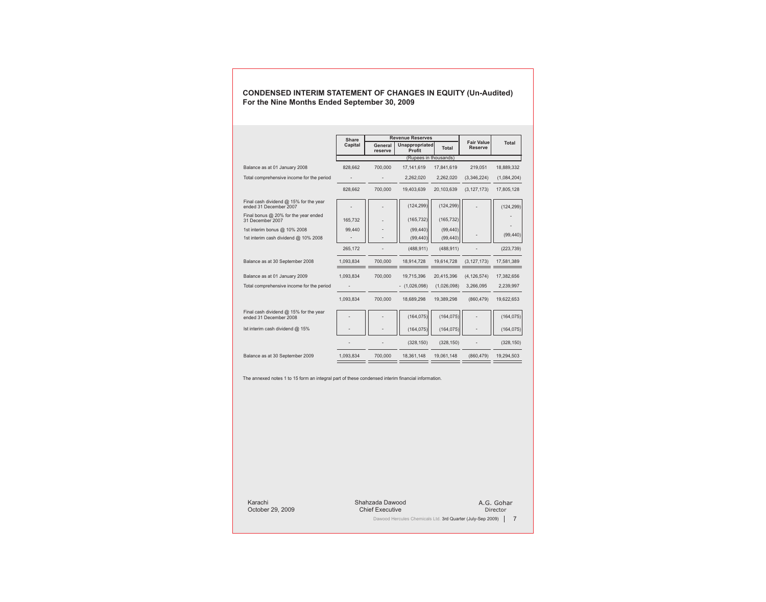|                                                                    | <b>Revenue Reserves</b><br>Share |                    |                          |             |                                     |             |
|--------------------------------------------------------------------|----------------------------------|--------------------|--------------------------|-------------|-------------------------------------|-------------|
|                                                                    | Capital                          | General<br>reserve | Unappropriated<br>Profit | Total       | <b>Fair Value</b><br><b>Reserve</b> | Total       |
|                                                                    |                                  |                    | (Rupees in thousands)    |             |                                     |             |
| Balance as at 01 January 2008                                      | 828,662                          | 700,000            | 17,141,619               | 17,841,619  | 219,051                             | 18,889,332  |
| Total comprehensive income for the period                          |                                  |                    | 2,262,020                | 2,262,020   | (3,346,224)                         | (1,084,204) |
|                                                                    | 828,662                          | 700,000            | 19,403,639               | 20,103,639  | (3, 127, 173)                       | 17,805,128  |
| Final cash dividend $@$ 15% for the year<br>ended 31 December 2007 |                                  |                    | (124, 299)               | (124, 299)  |                                     | (124, 299)  |
| Final bonus $@$ 20% for the year ended<br>31 December 2007         | 165.732                          |                    | (165, 732)               | (165, 732)  |                                     |             |
| 1st interim bonus @ 10% 2008                                       | 99,440                           |                    | (99, 440)                | (99, 440)   |                                     |             |
| 1st interim cash dividend @ 10% 2008                               |                                  |                    | (99, 440)                | (99, 440)   |                                     | (99, 440)   |
|                                                                    | 265,172                          |                    | (488, 911)               | (488, 911)  |                                     | (223, 739)  |
| Balance as at 30 September 2008                                    | 1,093,834                        | 700,000            | 18,914,728               | 19,614,728  | (3, 127, 173)                       | 17,581,389  |
| Balance as at 01 January 2009                                      | 1,093,834                        | 700,000            | 19,715,396               | 20,415,396  | (4, 126, 574)                       | 17,382,656  |
| Total comprehensive income for the period                          |                                  |                    | $-$ (1,026,098)          | (1,026,098) | 3,266,095                           | 2,239,997   |
|                                                                    | 1.093.834                        | 700.000            | 18,689,298               | 19,389,298  | (860, 479)                          | 19,622,653  |
| Final cash dividend $@$ 15% for the year<br>ended 31 December 2008 |                                  |                    | (164, 075)               | (164, 075)  |                                     | (164, 075)  |
| Ist interim cash dividend @ 15%                                    |                                  |                    | (164, 075)               | (164, 075)  |                                     | (164, 075)  |
|                                                                    |                                  |                    | (328, 150)               | (328, 150)  |                                     | (328, 150)  |
| Balance as at 30 September 2009                                    | 1,093,834                        | 700,000            | 18,361,148               | 19,061,148  | (860, 479)                          | 19,294,503  |

**CONDENSED INTERIM STATEMENT OF CHANGES IN EQUITY (Un-Audited) For the Nine Months Ended September 30, 2009**

The annexed notes 1 to 15 form an integral part of these condensed interim financial information.

Shahzada Dawood Chief Executive Karachi October 29, 2009

A.G. Gohar Director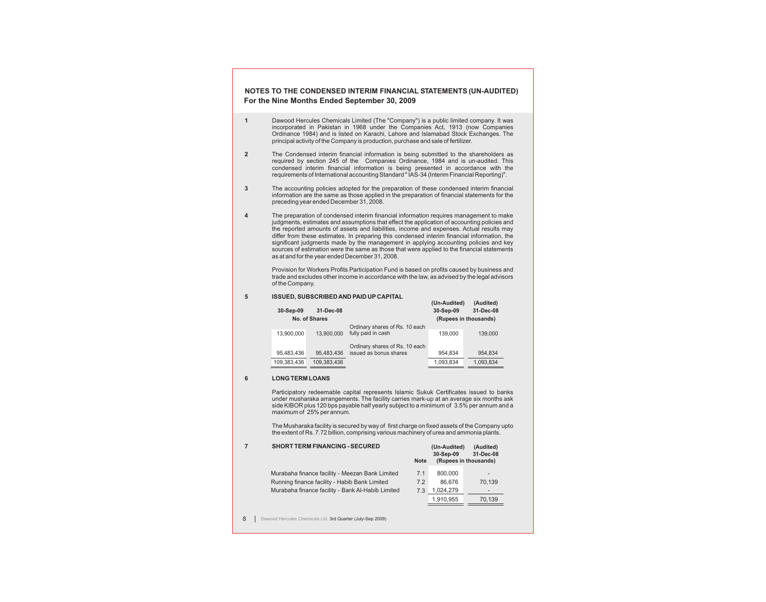# **NOTES TO THE CONDENSED INTERIM FINANCIAL STATEMENTS (UN-AUDITED) For the Nine Months Ended September 30, 2009**

- **1** Dawood Hercules Chemicals Limited (The "Company") is a public limited company. It was incorporated in Pakistan in 1968 under the Companies Act, 1913 (now Companies Ordinance 1984) and is listed on Karachi, Lahore and Islamabad Stock Exchanges. The principal activity of the Company is production, purchase and sale of fertilizer.
- **2** The Condensed interim financial information is being submitted to the shareholders as required by section 245 of the Companies Ordinance, 1984 and is un-audited. This condensed interim financial information is being presented in accordance with the requirements of International accounting Standard " IAS-34 (Interim Financial Reporting)".
- **3** The accounting policies adopted for the preparation of these condensed interim financial information are the same as those applied in the preparation of financial statements for the preceding year ended December 31, 2008.
- **4** The preparation of condensed interim financial information requires management to make judgments, estimates and assumptions that effect the application of accounting policies and the reported amounts of assets and liabilities, income and expenses. Actual results may differ from these estimates. In preparing this condensed interim financial information, the significant judgments made by the management in applying accounting policies and key sources of estimation were the same as those that were applied to the financial statements as at and for the year ended December 31, 2008.

Provision for Workers Profits Participation Fund is based on profits caused by business and trade and excludes other income in accordance with the law, as advised by the legal advisors of the Company.

#### **5 ISSUED, SUBSCRIBED AND PAID UP CAPITAL**

| 30-Sep-09   | 31-Dec-08     |                                | (Un-Audited)<br>30-Sep-09 | (Audited)<br>31-Dec-08 |
|-------------|---------------|--------------------------------|---------------------------|------------------------|
|             | No. of Shares |                                | (Rupees in thousands)     |                        |
|             |               | Ordinary shares of Rs. 10 each |                           |                        |
| 13,900,000  | 13.900.000    | fully paid in cash             | 139.000                   | 139,000                |
|             |               | Ordinary shares of Rs. 10 each |                           |                        |
| 95.483.436  | 95,483,436    | issued as bonus shares         | 954.834                   | 954.834                |
| 109,383,436 | 109,383,436   |                                | 1,093,834                 | 1,093,834              |

#### **6 LONG TERM LOANS**

Participatory redeemable capital represents Islamic Sukuk Certificates issued to banks under musharaka arrangements. The facility carries mark-up at an average six months ask side KIBOR plus 120 bps payable half yearly subject to a minimum of 3.5% per annum and a maximum of 25% per annum.

The Musharaka facility is secured by way of first charge on fixed assets of the Company upto the extent of Rs. 7.72 billion, comprising various machinery of urea and ammonia plants.

| <b>SHORT TERM FINANCING - SECURED</b>             | <b>Note</b> | (Un-Audited)<br>30-Sep-09 | (Audited)<br>31-Dec-08<br>(Rupees in thousands) |
|---------------------------------------------------|-------------|---------------------------|-------------------------------------------------|
| Murabaha finance facility - Meezan Bank Limited   | 7.1         | 800,000                   |                                                 |
| Running finance facility - Habib Bank Limited     | 7.2         | 86.676                    | 70.139                                          |
| Murabaha finance facility - Bank Al-Habib Limited | 7.3         | 1,024,279                 | $\qquad \qquad$                                 |
|                                                   |             | 1,910,955                 | 70,139                                          |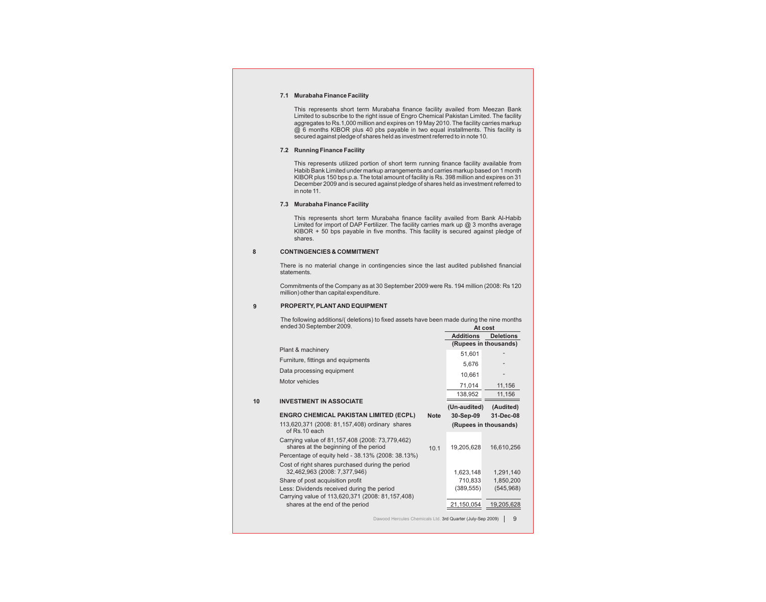### **7.1 Murabaha Finance Facility**

This represents short term Murabaha finance facility availed from Meezan Bank Limited to subscribe to the right issue of Engro Chemical Pakistan Limited. The facility aggregates to Rs.1,000 million and expires on 19 May 2010. The facility carries markup @ 6 months KIBOR plus 40 pbs payable in two equal installments. This facility is secured against pledge of shares held as investment referred to in note 10.

### **7.2 Running Finance Facility**

This represents utilized portion of short term running finance facility available from Habib Bank Limited under markup arrangements and carries markup based on 1 month KIBOR plus 150 bps p.a. The total amount of facility is Rs. 398 million and expires on 31 December 2009 and is secured against pledge of shares held as investment referred to in note 11.

#### **7.3 Murabaha Finance Facility**

This represents short term Murabaha finance facility availed from Bank Al-Habib Limited for import of DAP Fertilizer. The facility carries mark up  $@$  3 months average KIBOR + 50 bps payable in five months. This facility is secured against pledge of shares.

### **8 CONTINGENCIES & COMMITMENT**

There is no material change in contingencies since the last audited published financial statements.

Commitments of the Company as at 30 September 2009 were Rs. 194 million (2008: Rs 120 million) other than capital expenditure.

### **9 PROPERTY, PLANT AND EQUIPMENT**

The following additions/( deletions) to fixed assets have been made during the nine months ended 30 September 2009. **At cost**

|    |                                                                                                                                               |             | <b>Additions</b>          | <b>Deletions</b>        |
|----|-----------------------------------------------------------------------------------------------------------------------------------------------|-------------|---------------------------|-------------------------|
|    | Plant & machinery                                                                                                                             |             |                           | (Rupees in thousands)   |
|    |                                                                                                                                               |             | 51,601                    |                         |
|    | Furniture, fittings and equipments                                                                                                            |             | 5,676                     |                         |
|    | Data processing equipment                                                                                                                     |             | 10,661                    |                         |
|    | Motor vehicles                                                                                                                                |             | 71,014                    | 11,156                  |
|    |                                                                                                                                               |             | 138,952                   | 11,156                  |
| 10 | <b>INVESTMENT IN ASSOCIATE</b>                                                                                                                |             |                           |                         |
|    | <b>ENGRO CHEMICAL PAKISTAN LIMITED (ECPL)</b>                                                                                                 | <b>Note</b> | (Un-audited)<br>30-Sep-09 | (Audited)<br>31-Dec-08  |
|    | 113,620,371 (2008: 81,157,408) ordinary shares<br>of Rs.10 each                                                                               |             |                           | (Rupees in thousands)   |
|    | Carrying value of 81,157,408 (2008: 73,779,462)<br>shares at the beginning of the period<br>Percentage of equity held - 38.13% (2008: 38.13%) | 10.1        | 19,205,628                | 16,610,256              |
|    | Cost of right shares purchased during the period<br>32,462,963 (2008: 7,377,946)                                                              |             | 1,623,148                 | 1,291,140               |
|    | Share of post acquisition profit<br>Less: Dividends received during the period                                                                |             | 710,833<br>(389, 555)     | 1,850,200<br>(545, 968) |
|    | Carrying value of 113,620,371 (2008: 81,157,408)                                                                                              |             |                           |                         |
|    | shares at the end of the period                                                                                                               |             | 21,150,054                | 19,205,628              |
|    | Dawood Hercules Chemicals Ltd. 3rd Quarter (July-Sep 2009)                                                                                    |             |                           | 9                       |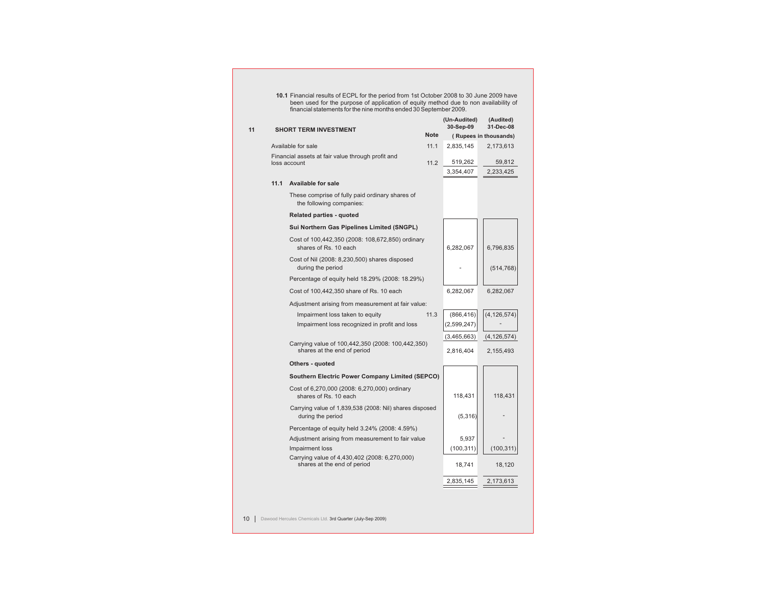|      | <b>SHORT TERM INVESTMENT</b>                                                     |             | (Un-Audited)<br>30-Sep-09 | (Audited)<br>31-Dec-08 |
|------|----------------------------------------------------------------------------------|-------------|---------------------------|------------------------|
|      |                                                                                  | <b>Note</b> |                           | (Rupees in thousands)  |
|      | Available for sale                                                               | 11.1        | 2,835,145                 | 2,173,613              |
|      | Financial assets at fair value through profit and<br>loss account                | 11.2        | 519,262                   | 59,812                 |
|      |                                                                                  |             | 3,354,407                 | 2,233,425              |
| 11.1 | <b>Available for sale</b>                                                        |             |                           |                        |
|      | These comprise of fully paid ordinary shares of<br>the following companies:      |             |                           |                        |
|      | <b>Related parties - quoted</b>                                                  |             |                           |                        |
|      | <b>Sui Northern Gas Pipelines Limited (SNGPL)</b>                                |             |                           |                        |
|      | Cost of 100,442,350 (2008: 108,672,850) ordinary<br>shares of Rs. 10 each        |             | 6,282,067                 | 6,796,835              |
|      | Cost of Nil (2008: 8,230,500) shares disposed<br>during the period               |             |                           | (514, 768)             |
|      | Percentage of equity held 18.29% (2008: 18.29%)                                  |             |                           |                        |
|      | Cost of 100,442,350 share of Rs. 10 each                                         |             | 6,282,067                 | 6,282,067              |
|      | Adjustment arising from measurement at fair value:                               |             |                           |                        |
|      | Impairment loss taken to equity                                                  | 11.3        | (866, 416)                | (4, 126, 574)          |
|      | Impairment loss recognized in profit and loss                                    |             | (2,599,247)               |                        |
|      |                                                                                  |             | (3,465,663)               | (4, 126, 574)          |
|      | Carrying value of 100,442,350 (2008: 100,442,350)<br>shares at the end of period |             | 2,816,404                 | 2,155,493              |
|      | <b>Others - quoted</b>                                                           |             |                           |                        |
|      | <b>Southern Electric Power Company Limited (SEPCO)</b>                           |             |                           |                        |
|      | Cost of 6,270,000 (2008: 6,270,000) ordinary<br>shares of Rs. 10 each            |             | 118,431                   | 118,431                |
|      | Carrying value of 1,839,538 (2008: Nil) shares disposed<br>during the period     |             | (5,316)                   |                        |
|      | Percentage of equity held 3.24% (2008: 4.59%)                                    |             |                           |                        |
|      | Adjustment arising from measurement to fair value                                |             | 5,937                     |                        |
|      | Impairment loss                                                                  |             | (100, 311)                | (100, 311)             |
|      | Carrying value of 4,430,402 (2008: 6,270,000)<br>shares at the end of period     |             | 18,741                    | 18,120                 |
|      |                                                                                  |             | 2,835,145                 | 2,173,613              |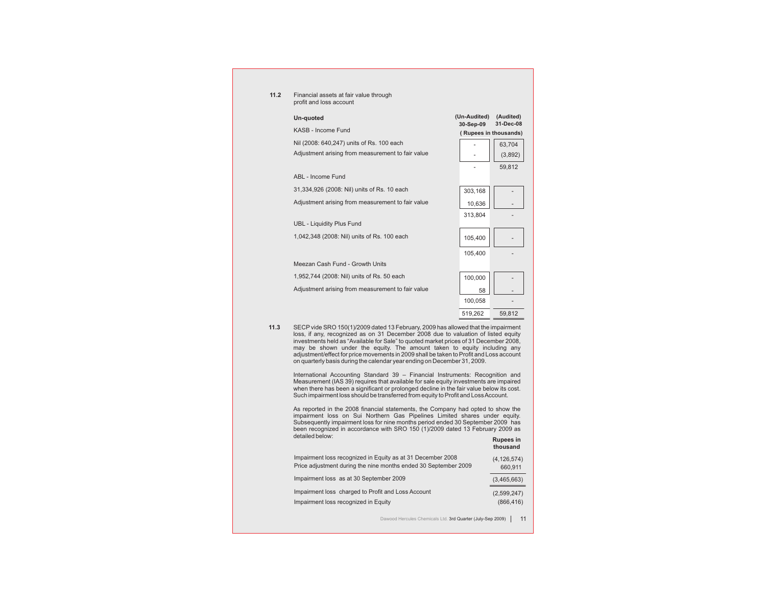| 11.2 | Financial assets at fair value through<br>profit and loss account |                           |                        |  |
|------|-------------------------------------------------------------------|---------------------------|------------------------|--|
|      | Un-quoted                                                         | (Un-Audited)<br>30-Sep-09 | (Audited)<br>31-Dec-08 |  |
|      | KASB - Income Fund                                                |                           | (Rupees in thousands)  |  |
|      | Nil (2008: 640,247) units of Rs. 100 each                         |                           | 63,704                 |  |
|      | Adjustment arising from measurement to fair value                 |                           | (3,892)                |  |
|      |                                                                   |                           | 59,812                 |  |
|      | ABL - Income Fund                                                 |                           |                        |  |
|      | 31,334,926 (2008: Nil) units of Rs. 10 each                       | 303,168                   |                        |  |
|      | Adjustment arising from measurement to fair value                 | 10,636                    |                        |  |
|      |                                                                   | 313,804                   |                        |  |
|      | <b>UBL - Liquidity Plus Fund</b>                                  |                           |                        |  |
|      | 1,042,348 (2008: Nil) units of Rs. 100 each                       | 105,400                   |                        |  |
|      |                                                                   | 105,400                   |                        |  |
|      | Meezan Cash Fund - Growth Units                                   |                           |                        |  |
|      | 1,952,744 (2008: Nil) units of Rs. 50 each                        | 100,000                   |                        |  |
|      | Adjustment arising from measurement to fair value                 | 58                        |                        |  |
|      |                                                                   | 100,058                   |                        |  |
|      |                                                                   | 519,262                   | 59,812                 |  |

**11.3** SECP vide SRO 150(1)/2009 dated 13 February, 2009 has allowed that the impairment loss, if any, recognized as on 31 December 2008 due to valuation of listed equity investments held as "Available for Sale" to quoted market prices of 31 December 2008, may be shown under the equity. The amount taken to equity including any adjustment/effect for price movements in 2009 shall be taken to Profit and Loss account on quarterly basis during the calendar year ending on December 31, 2009.

International Accounting Standard 39 – Financial Instruments: Recognition and Measurement (IAS 39) requires that available for sale equity investments are impaired when there has been a significant or prolonged decline in the fair value below its cost. Such impairment loss should be transferred from equity to Profit and Loss Account.

As reported in the 2008 financial statements, the Company had opted to show the impairment loss on Sui Northern Gas Pipelines Limited shares under equity. Subsequently impairment loss for nine months period ended 30 September 2009 has been recognized in accordance with SRO 150 (1)/2009 dated 13 February 2009 as detailed below: **Rupees in**

|                                                                 | thousand      |
|-----------------------------------------------------------------|---------------|
| Impairment loss recognized in Equity as at 31 December 2008     | (4, 126, 574) |
| Price adjustment during the nine months ended 30 September 2009 | 660,911       |
| Impairment loss as at 30 September 2009                         | (3,465,663)   |
| Impairment loss charged to Profit and Loss Account              | (2,599,247)   |
| Impairment loss recognized in Equity                            | (866, 416)    |